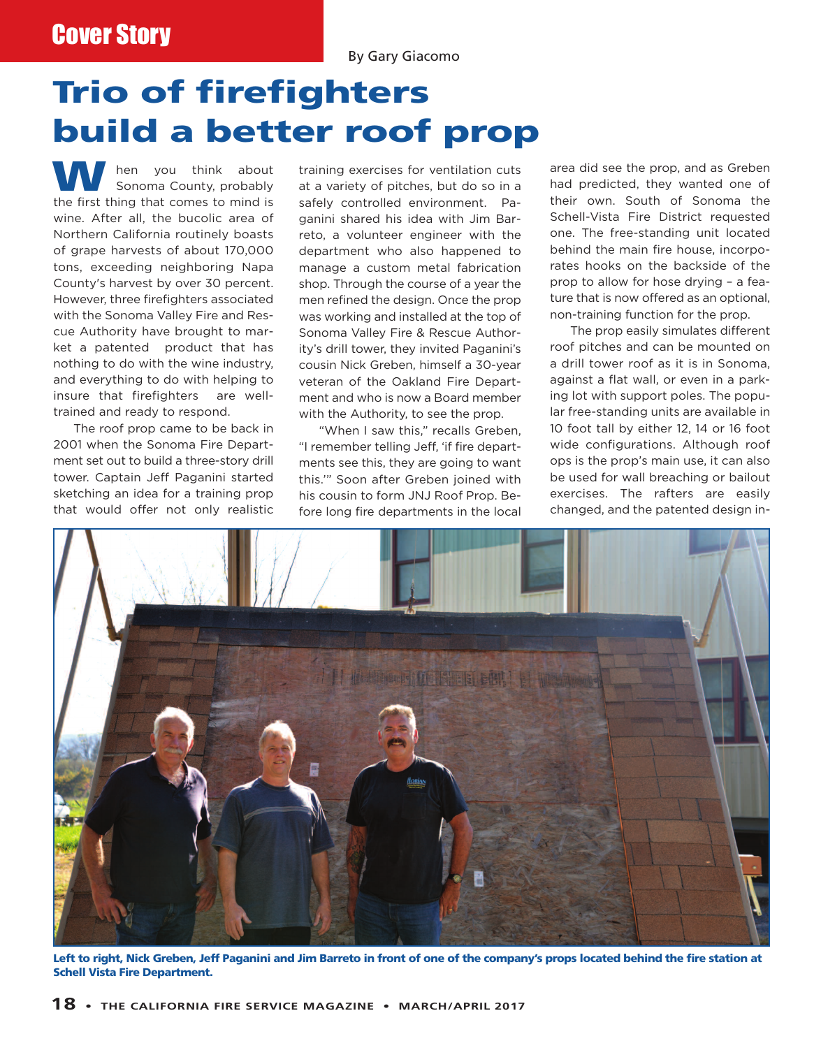## Cover Story

By Gary Giacomo

## **Trio of firefighters build a better roof prop**

hen you think about Sonoma County, probably the first thing that comes to mind is wine. After all, the bucolic area of Northern California routinely boasts of grape harvests of about 170,000 tons, exceeding neighboring Napa County's harvest by over 30 percent. However, three firefighters associated with the Sonoma Valley Fire and Rescue Authority have brought to market a patented product that has nothing to do with the wine industry, and everything to do with helping to insure that firefighters are welltrained and ready to respond.

The roof prop came to be back in 2001 when the Sonoma Fire Department set out to build a three-story drill tower. Captain Jeff Paganini started sketching an idea for a training prop that would offer not only realistic

training exercises for ventilation cuts at a variety of pitches, but do so in a safely controlled environment. Paganini shared his idea with Jim Barreto, a volunteer engineer with the department who also happened to manage a custom metal fabrication shop. Through the course of a year the men refined the design. Once the prop was working and installed at the top of Sonoma Valley Fire & Rescue Authority's drill tower, they invited Paganini's cousin Nick Greben, himself a 30-year veteran of the Oakland Fire Department and who is now a Board member with the Authority, to see the prop.

"When I saw this," recalls Greben, "I remember telling Jeff, 'if fire departments see this, they are going to want this.'" Soon after Greben joined with his cousin to form JNJ Roof Prop. Before long fire departments in the local area did see the prop, and as Greben had predicted, they wanted one of their own. South of Sonoma the Schell-Vista Fire District requested one. The free-standing unit located behind the main fire house, incorporates hooks on the backside of the prop to allow for hose drying – a feature that is now offered as an optional, non-training function for the prop.

The prop easily simulates different roof pitches and can be mounted on a drill tower roof as it is in Sonoma, against a flat wall, or even in a parking lot with support poles. The popular free-standing units are available in 10 foot tall by either 12, 14 or 16 foot wide configurations. Although roof ops is the prop's main use, it can also be used for wall breaching or bailout exercises. The rafters are easily changed, and the patented design in-



Left to right, Nick Greben, Jeff Paganini and Jim Barreto in front of one of the company's props located behind the fire station at **Schell Vista Fire Department.**